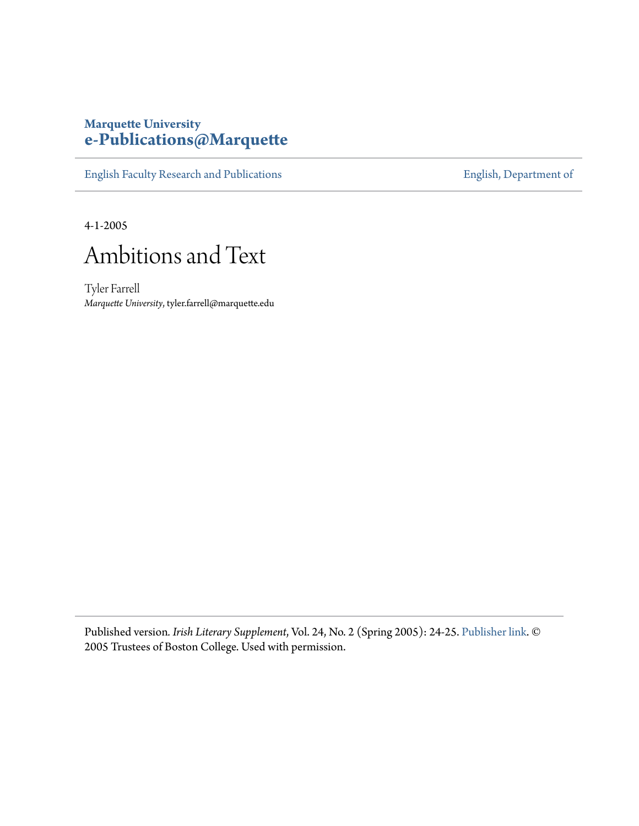## **Marquette University [e-Publications@Marquette](https://epublications.marquette.edu)**

[English Faculty Research and Publications](https://epublications.marquette.edu/english_fac) **[English, Department of](https://epublications.marquette.edu/english)** 

4-1-2005



Tyler Farrell *Marquette University*, tyler.farrell@marquette.edu

Published version*. Irish Literary Supplement*, Vol. 24, No. 2 (Spring 2005): 24-25. [Publisher link.](https://www.bc.edu/bc-web/centers/center-for-irish-programs.html) © 2005 Trustees of Boston College. Used with permission.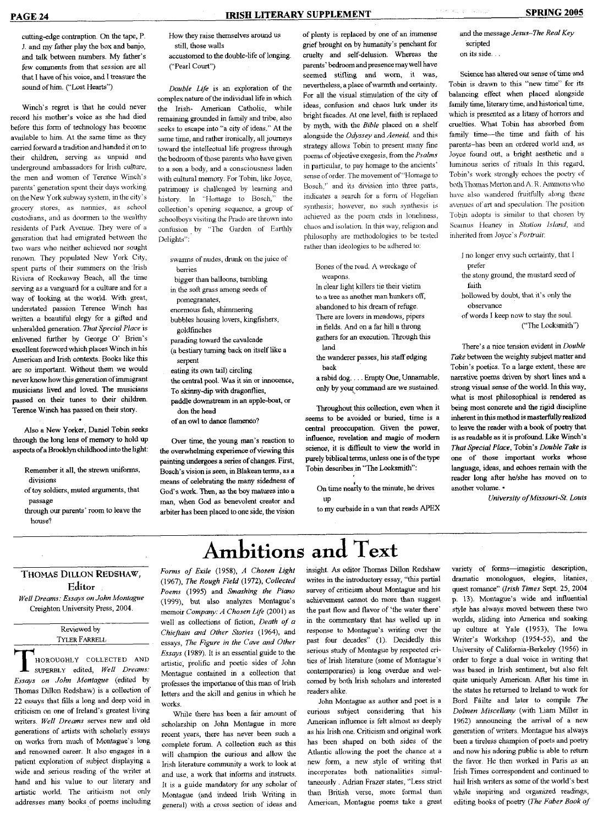cutting-edge contraption. On the tape, P, J. and my father play the box and banjo, and talk between numbers. My father's few comments from that session are all that 1 have of his voice, and I treasure the sound of him. ("Lost Hearts")

Winch's regret is that he could never record his mother's voice as she had died before this form of technology has become available to him. At the same time as they carried forward a tradition and handed it on to their children, serving as unpaid and underground ambassadors for Irish culture, the men and women of Terence Winch's parents' generation spent their days working on the New York subway system, in the city's grocery' stores, as nannies, as school custodians, and as doormen to the wealthy residents of Park Avenue, They were of *a* generation that had emigrated between the two wars who neither achieved nor sought renown. They populated New York City, spent parts of their summers on the Irish Riviera of Rockaway Beach, ail the time serving as a vanguard for a culture and for a serving as a vanguard for a culture and for a service  $\epsilon$ . way of looking at the world. While great, understated passion Terence Winch has written a beautiful elegy for a gifted and unheralded generation. That Special Place is enlivened further by George O' Brien's excellent foreword which places Winch in his American and Irish contexts. Books like this are so important. Without them we would never know how this generation of immigrant musicians lived and loved. The musicians passed on their tunes to their children. Terence Winch has passed on their story.

Also a New Yorker, Daniel Tobin seeks through the long lens of memory to hold up aspects of a Brooklyn childhood into the light:

- Remember it all, the strewn uniforms, divisions
- of toy soldiers, muted arguments, that passage
- through our parents' room to leave the house'?

How they raise themselves around us still, those walls

accustomed to the double-life of longing. ("Pearl Court")

*Double Life* is an exploration of the complex nature of the individual life in which the Irish- American Catholic, while remaining grounded in family and tribe, also seeks to escape into "a city of ideas." At the same time, and rather ironically, all joumeys toward the intellectual life progress through the bedroom of those parents who have given to a son a body, and a consciousness laden with cultural memory. For Tobin, like Joyce, patrimony is challenged by learning and history. In "Homage to Bosch," the collection's opening sequence, a group of schoolboys visiting the Prado are thrown into confusion by "The Garden of Earthly Delights":

- swarms of nudes, drunk on the juice of berries
- bigger than balloons, tumbling
- in the soft grass among seeds of
- pomegranates,
- enormous fish, shimmering bubbles housing lovers, kingfishers,
- goldfinches parading toward the cavalcade
- (a bestiary tuming back on itself like a serpent
- eating its own tail) circling the central pool. Was it sin or innocence, To skinny-dip with dragonflies,
- paddle downstream in an apple-boat, or don the head
- of an owl to dance flamenco?

Over time, the young man's reaction to the overwhelming experience of viewing this painting undergoes a series of changes. First, Bosch's vision is seen, in Blakean terms, as a means of celebrating the many sidedness of God's work. Then, as the boy matures into a man, when God as benevolent creator and arbiter has been placed to one side, the vision of plenty is replaced by one of an immense grief brought on by humanity's penchant for cruelty and self-delusion. Whereas the parents' bedroom and presence may well have seemed stifling and wom, it was, nevertheless, a place of warmth and certainty. For all the visual stimulation of the city of ideas, confusion and chaos lurk under its bright faeades. At one level, faith is replaced by myth, with the *Bible* placed on a shelf alongside the *Odyssey* and *Aeneid,* and this strategy allows Tobin to present many fme poems of objective exegesis, from the *Psalms* in partieular, to pay homage to the ancients' sense of order. The movement of "Homage to Bosch," and its division into three parts, indicates a search for a form of Hegelian synthesis; however, no such synthesis is achieved as the poem ends in loneliness, chaos and isolation. In this way, religion and philosophy arc methodologies to be tested rather than ideologies to be adhered lo:

- Bones of the road, A wreckage of weapons.
- In clear light killers tie their victim to a tree aa another man hunkers off, abandoned to his dream of refuge. There are lovers in meadows, pipers in fields. And on a far hill a throng gathers for an execution. Through this land
- the wanderer passes, his staff edging back
- a rabid dog. . . . Empty One, Unnamable, only by your command are we sustained.

Throughout this collection, even when it seems to be avoided or buried, time is a central preoccupation. Given the power, influence, revelation and magic of modem science, it is difficult to view the world in purely biblical terms, unless one is of the type Tobin describes in "The Locksmith":

On time nearly to the minute, he drives up

to my curbside in a van that reads APEX

Ambitions and Text

and the message *Jesus-The Real Key* scripted on its side, , .

Science has altered our sense of time and Tobin is dravm to this "new time" for its balancing effect when placed alongside family time, literary time, and historical time, which is presented as a litany of horrors and cruelties. What Tobin has absorbed from family time—the time and faith of his parents-has been an ordered world and, as Joyce found out, a bright aesthetic and a luminous series of rituals In this regard, Tobin's work strongly echoes the poetry' of both Thomas Merton and A. R. Ammons who have also wandered fruitfully along these avennes of art and speculation. 'Hie position Tobin adopts is similar to that chosen by Seamus Heaney in *Station Island.,* and inherited from Joyce's *Portraii:*

- I no longer envy sueh certainty, that I prefer
- the stony ground, the mustard seed of faith
- hollowed by doubt, that it's only the observance
- of words I keep now to stay the soul. ("The Locksmith")

There's a nice tension evident in *Double Take* between the weighty subject matter and Tobin's poetics. To a large extent, these are narrative poems driven by short lines and a strong visual sense of the world. In this way, what is most philosophical is rendered as being most concrete and the rigid discipline inherent in this method is masterftilly realized to leave the reader with a book of poetry that is as readable as it is profound. Like Winch's *That Special Place,* Tobin's *Double Take is* one of those important works whose language, ideas, and echoes remain with the reader long after he/she has moved on to another volume. •

*University ofMissouri-St. Louis*

## THOMAS DILLON REDSHAW, Editor

*Well Dreams: Essays on John Montague* Creighton University Press, 2004.

## Reviewed by TYLER FARRELL

HOROUGHLY COLLECTED AMD SlfPERBLY edited. *Well Dreams: Essays on John Montague* (edited by Thomas Dillon Redshaw) is a collection of 22 essays that tills a long and deep void in criticism on one of Ireland's greatest living writers. *Well Dreams* serves new and old generations of artists with scholarly essays on works from much of Montague's long and renowned career. It also engages in a patient exploration of subject displaying a wide and serious reading of the writer at hand and his value to our literary and artistic world. The criticism not only addresses many books of poems including *Forms of Exile* (1958), *A Chosen Light* (1967), *The Rough Field* (1972), *Collected Poems* (1995) and *Smashing the Piano* (1999), but also analyzes Montague's memoir *Company: A Chosen Life* (2001) as well as collections of fiction. *Death of a Chieftain and Other Stories* (1964), and essays. *The Figure in the Cave and Other Essays* (1989). It is an essential guide to the artistic, prolific and poetic sides of John Montague contained in a collection that professes the importance of this man of Irish letters and the skill and genius in which he works.

While there has been a fair amount of scholarship on John Montague in more recent years, there has never been such a complete forum. A collection such as this will champion the curious and allow the Irish literature community a work to look at and use, a work that informs and instructs. It is a guide mandatory for any scholar of Montague (and indeed Irish Writing in general) with a cross section of ideas and

insight. As editor Thomas Dillon Redshaw writes in the introductory essay, "this partial survey of criticism about Montague and his achievement cannot do more than suggest the past flow and flavor of 'the water there' in the commentary that has welled up in response to Montague's writing over the past four decades" (1). Decidedly this serious study of Montague by respected critics of Irish literature (some of Montague's contemporaries) is long overdue and welcomed by both Irish scholars and interested readers alike.

John Montague as author and poet is a curious subject considering that his American influence is felt almost as deeply as his Irish one. Criticism and original work has been shaped on both sides of the Atlantic allowing the poet the chance at a new form, a new style of writing that incorporates both nationalities simultaneously , Adrian Frazer states, "Less strict than British verse, more formal than American, Montague poems take a great variety of forms—imagistic description, dramatic monologues, elegies, litanies, quest romance" *(Irish Times* Sept. 25, 2004 p. 13). Montague's wide and influential style has always moved between these two worlds, sliding into America and soaking up culture at Yale (1953), The Iowa Writer's Workshop (1954-55), and the University of California-Berkeley (1956) in order to forge a dual voice in writing that was based in Irish sentiment, but also felt quite uniquely American. After his time in the states he returned to Ireland to work for Bord Failte and later to compile *The Dolmen Miscellany* (with Liam Miller in 1962) announcing the arrival of a new generation of writers, Montague has always been a tireless champion of poets and poetry and now his adoring public is able to return the favor. He then worked in Paris as an Irish Times correspondent and continued to hail Irish writers as some of the world's best while inspiring and organized readings, editing books of poetry *(7'he Faber Book of*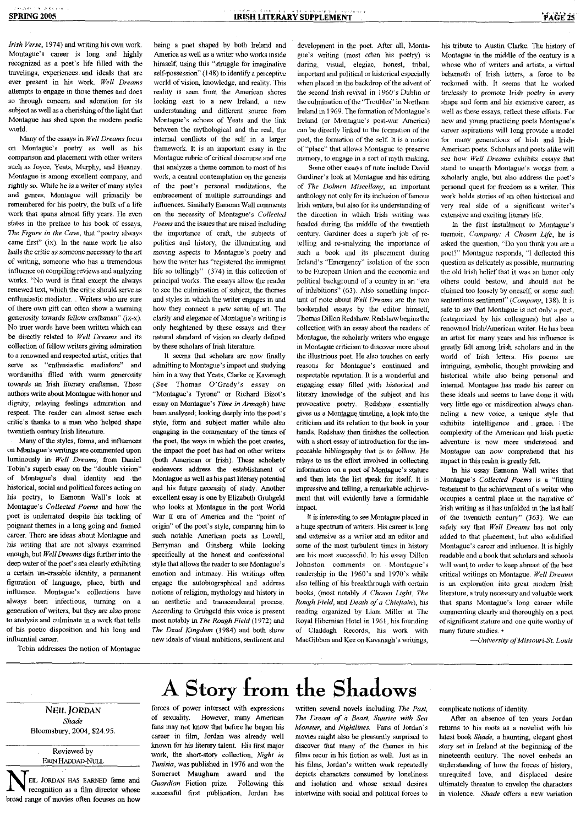*Irish Verse,* 1974) and writing his own work. Montague's career is long and highly recognized as a poet's life filled *with* the travelings, experiences. and ideals that are ever present in his work. *Well Dreams* attempts to engage in those themes and does so through concern and adoration for its subject as well as a cherishing of the light that Montague has shed upon the modem poetic world.

Many of the essays in *Well Dreams* focus on Montague's poetry as well as his comparison and placement with other writers such as Joyce, Yeats, Murphy, and Heaney. Montague is among excellent company, and rightly *so.* While he is a writer of many styles and genres, Montague will primarily be remembered for his poetry, the bulk of a life work that spans almost fifty years. He even states in the preface to his book of essays. *The Figure in the Cave,* that "poetry always came first" (ix). In the same work he also hails the critic as *someone necessary to the* art of writing, someone who has a tremendous influence on compiling reviews and analyzing works. "No word is final except the always renewed text, which the critic should serve as enthusiastic mediator... Writers who are sure of there own gift can often show a warming generosity towards fcliow craftsman" (ix-x). No truer words have been written which can be directly related to *Well Dreams* and its collection of fellow writers giving admiration to a renowned and respected artist, critics that serve as "enthusiastic mediators" and wordsmiths filled with warm generosity towards an Irish literary craftsman. These authors write about Montague with honor and dignity, relaying feelings admiration and respect. The reader can almost sense each critic's thanks to a man who helped shape twentieth century Irish literature.

Many of the styles, forms, and influences on Mantague's writings are commented upon luminously in Well Dreams, from Daniel Tobin's superb essay on the "double vision" of Montague's dual identity and the historical, social and political forces acting on his poetry, to Eamonn Wall's look at Montague's *Collected Poems* and how the poet is underrated despite his tackling of poignant themes in a long going and framed career. There are ideas about Montague and his *^vntmg* that are not always examined enough, but Well Dreams digs further into the deep water of the poet's sea clearly exhibiting a certain un-erasable identity, a permanent figuration of language, place, birth *and* influence. Montague's collections have always been infectious, turning on a generation of writers, but they are also prone to analysis and culminate in a work that tells of his poetic disposition and his long and influential career.

Tobin addresses the notion of Montague

being a poet shaped by both Ireland and America as well as a writer who works inside himself, using this "struggle for imaginative self-possession" (148) to identify a perceptive world of vision, knowledge, and reality. This reality is seen from the American shores looking east to a new Ireland, a newunderstanding and ditlerent source from Montague's echoes of Yeats and the link between the mythological and the real, the internal conflicts of the self in a larger framework. It is an important essay in the Montague rubric of critical discourse and one that analyzes a theme common to most of his work, a central contemplation on the genesis of the poet's personal meditations, the embracement of multiple surroundings and influences. Similarly Eamonn Wall comments on the necessity of Montague's *Collected Poems* and the issues that are raised including the importance of craft, the subjects of politics and history, the illuminating and moving aspects to Montague's poetry and how the writer has "registered the immigrant life so tellingly" (374) in this collection of principal works. The essays allow the reader to see the culmination of subject, the themes and styles in which the writer engages in and how they connect a new sense of art. The clarity and elegance of Montague's writing is only heightened by these essays and their natural standard of vision so clearly defined by these scholars of Irish literature.

It seems that scholars are now fmally admitting to Montague's impact and studying him in a way that Yeats, Clarke or Kavanagh (See Thomas O'Grady's essay on "Montague's Tyrone" or Richard Bizot's essay on Montague's *Time in Armagh)* have been analyzed; looking deeply into the poet's style, form and subject matter while also engaging in the commentary of the times of the poet, the ways in which the poet creates, the impact the poet has had on other writers (both American or Irish). These scholarly endeavors address the establishment of Montague as well as his past literary potential and his future necessity of study. Another excellent essay is one by Elizabeth Grubgeld who looks at Montague in the post World War II era of America and the "point of origin" of the poet's style, comparing him to such notable American poets as Lowell, Berryman and Ginsberg while looking specifically at the honest and confessional style that allows the reader to see Montague's emotion and intimacy. His writings often engage the autobiographical and address notions of religion, mythology and history in an aesthetic and transcendental process. According to Grubgeld this voice is present most notably in *The Rough Field* (1972) and *The Dead Kingdom* (1984) and both show new ideals of visual ambitions, sentiment and

development in the poet. After all, Montague's writing (most often his poetry) is daring, visual, elegiac, honest, tribal, important and political or historical especially when placed in the backdrop of the advent of the second Irish revival in 196O's Dublin or the culmination of the "Troubles" in Northern Ireland in 1969. The formation of Montague's Ireland (or Montague's post-war America) can be directly linked to the formation of the poet, the formation of the self. It is a notion of "place" that allows Montague to preserve memory, to engage in a sort of myth making.

Some other essays of note include David Gardiner's look at Montague and his editing of *The Dolmen Miscellany;* an important anthology not only for its inclusion of famous Irish writers, but also for its understanding of the direction in which Irish writing was headed during the middle of the twentieth century'. Gardiner does a superb job of retelling and re-analyzing the importance of such a book and its placement during Ireland's "Emergency" isolation of the soon to be European Union and the economic and political background of a country in an "era of inhibitions" (63), Also something important of note about *Well Dreams* are the two bookended essays by the editor himself, Thomas Dillon Redshaw. Redshaw begins the collection with an essay about the readers of Montague, the scholarly writers who engage in Montague criticism to discover more about the illustrious poet. He also touches on early reasons for Montague's continued and respectable reputation. It is a wonderful and engaging essay filled .with historical and literary knowledge of Ihe subject and his provocative poetry. Redshaw essentially gives us a Montague timeline, a look into the criticism and its relation to the book in your hands. Redshaw then finishes the collection with a short essay of introduction for the impeccable bibliography that *is* to follow. He relays to us the effort involved in collecting information on a poet of Montague's stature and then lets the list speak for itself. It is impressive and telling, a remarkable achievement that will evidently have a formidable impact.

It is interesting to see Montague placed in a huge spectrum of writers. His career is long and extensive as a writer and an editor and some of the most turbulent times in history are his most successful. In his essay Dillon Johnston comments on Montague's readership in the 196O's and 197O's while also telling ot his breakthrough with certain books, (most notably *A Chosen Light, The Rough Field,* and *Death of a Chieftain),* his reading organized by Liam Miller at The Royal Hibernian Hotel in 1961, his founding of Claddagh Records, his work with MacGibbon and Kee on Kavanagh's writings.

his tribute to Austin Clarke. The history of Montague in the middle of the century is a whose who of writers and artists, a virtual behemoth of Irish letters, a force to be reckoned with. It seems that he worked tirelessly *to* promote Irish *poetry in* every shape and form and his extensive career, as well as these essays, reflect these efforts. For new and young practicing poets Montague's career aspirations will long provide a model for many generations of Irish and Irish-American poets. Scholars and poets alike will see how *Well Dreams* exhibits essays that stand to unearth Montague's works from a scholarly angle, but also address the poet's personal quest for freedom as a writer. This Work holds stories of an often historical and Very real side of a significant writer's extensive and exciting literary life.

in the first installment to Monlague's memoir. *Company: A Chosen Life,* he is asked the question, "Do you think you are a poet?" Montague responds, "I deflected this question as delicately as possible, murmuring the old Irish belief that it was an honor only others could bestow, and should not be claimed too loosely by oneself, or some such sententious sentiment" *{Company,* 138). It is safe to say that Montague is not only a poet, (categorized by his colleagues) but also a renowned Irish/American writer. He has been an artist for many years and his influence is greatly felt among Irish scholars and in the world of Irish fetters. His poems are intriguing, symbolic, thought provoking and historical while also being personal and intemal. Montague has made his career on these ideals and seems to have done it with very little ego or misdirection always channeling a new voice, a unique style that exhibits intelligence and grace. The complexity of the American and Irish poetic adventure is now more understood and Montague can now comprehend that his impact in this realm is greatly felt.

In his essay Eamonn Wall writes that Montague's *Collected Poems* is a "fitting testament to the aehievement of a writer who occupies a central place in the narrative of Irish writing as it has unfolded in the last half of the twentieth century" *Q63).* We can safely say that *Well Dreams* has not only added to that placement, but also solidified Montague's career and influence. It is highly readable and a book that scholars and schools will want to order to keep abreast of the best critical writings on Montague. *Well Dreams* is an exploration into great modern Irish literature, a truly necessary and valuable work that spans Montague's long career while commenting clearly and thoroughly on a poet of signiticant stature and one quite worthy of many tuture studies. •

—*University of Missouri-St. Louis*

## A Story from the Shadows

NEfL JORDAN *Shade* Bloomsbury, 2004, \$24.95.

Reviewed by ERIN HADDAD-NULL

EIL JORDAN HAS EARNED fame and recognition as a film director whose broad range of movies often focuses on how

of sexuality. However, many American fans may not know that before he began his career in film, Jordan was already well known for his literary talent. His first major work, the short-story collection. *Night in Tunisia,* was published in 1976 and won the Somerset Maugham award and the *Guardian* Fiction prize. Following this successful first publication, Jordan has

forces of power intersect with expressions

written several novels including *The Past, The Dream of a Beast, Sunrise with Sea Monster,* and *Nightlines.* Fans of Jordan's movies might also be pleasantly surprised to discover that many of the themes in his films recur in his fiction as well. Just as in his films, Jordan's written work repeatedly depicts characters consumed by loneliness and isolation and whose sexual desires intertwine with social and political forces to

complicate notions of identity.

After an absence of ten years Jordan returns to his roots as a novelist with his latest book *Shade,* a haunting, elegant ghost story set in Ireland *at* the hegimring of the nineteenth century. The novel embeds an understanding of how the forces of history, unrequited love, and displaced desire ultimately threaten to envelop the characters in violence. *Shade* otTers a new variation